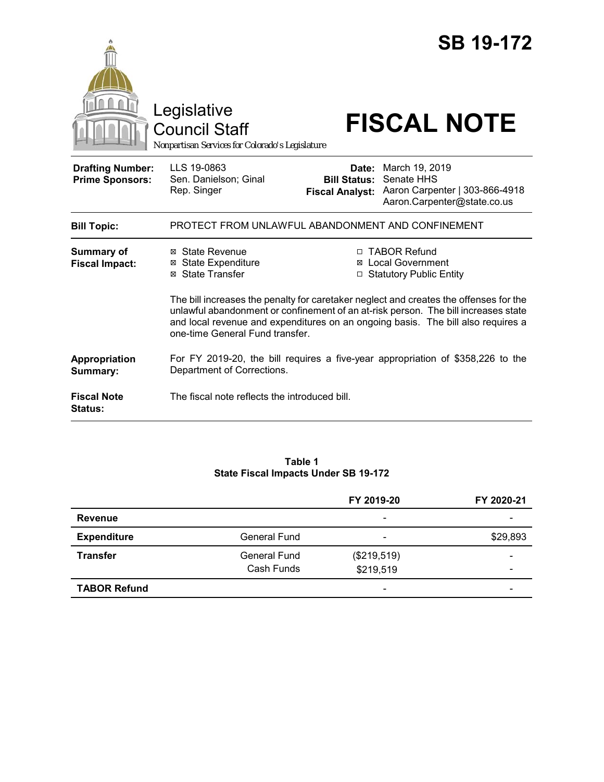|                                                   |                                                                                                                                                                                                                                                                                                    |                                               | <b>SB 19-172</b>                                                                                           |  |
|---------------------------------------------------|----------------------------------------------------------------------------------------------------------------------------------------------------------------------------------------------------------------------------------------------------------------------------------------------------|-----------------------------------------------|------------------------------------------------------------------------------------------------------------|--|
|                                                   | Legislative<br><b>Council Staff</b><br>Nonpartisan Services for Colorado's Legislature                                                                                                                                                                                                             |                                               | <b>FISCAL NOTE</b>                                                                                         |  |
| <b>Drafting Number:</b><br><b>Prime Sponsors:</b> | LLS 19-0863<br>Sen. Danielson; Ginal<br>Rep. Singer                                                                                                                                                                                                                                                | <b>Bill Status:</b><br><b>Fiscal Analyst:</b> | <b>Date:</b> March 19, 2019<br>Senate HHS<br>Aaron Carpenter   303-866-4918<br>Aaron.Carpenter@state.co.us |  |
| <b>Bill Topic:</b>                                | PROTECT FROM UNLAWFUL ABANDONMENT AND CONFINEMENT                                                                                                                                                                                                                                                  |                                               |                                                                                                            |  |
| <b>Summary of</b><br><b>Fiscal Impact:</b>        | ⊠ State Revenue<br><b>State Expenditure</b><br>⊠<br><b>⊠</b> State Transfer                                                                                                                                                                                                                        |                                               | □ TABOR Refund<br>Local Government<br>□ Statutory Public Entity                                            |  |
|                                                   | The bill increases the penalty for caretaker neglect and creates the offenses for the<br>unlawful abandonment or confinement of an at-risk person. The bill increases state<br>and local revenue and expenditures on an ongoing basis. The bill also requires a<br>one-time General Fund transfer. |                                               |                                                                                                            |  |
| Appropriation<br>Summary:                         | Department of Corrections.                                                                                                                                                                                                                                                                         |                                               | For FY 2019-20, the bill requires a five-year appropriation of \$358,226 to the                            |  |
| <b>Fiscal Note</b><br><b>Status:</b>              | The fiscal note reflects the introduced bill.                                                                                                                                                                                                                                                      |                                               |                                                                                                            |  |

#### **Table 1 State Fiscal Impacts Under SB 19-172**

|                     |                     | FY 2019-20               | FY 2020-21 |
|---------------------|---------------------|--------------------------|------------|
| <b>Revenue</b>      |                     | $\overline{\phantom{0}}$ |            |
| <b>Expenditure</b>  | <b>General Fund</b> | $\overline{\phantom{0}}$ | \$29,893   |
| <b>Transfer</b>     | <b>General Fund</b> | (\$219,519)              |            |
|                     | Cash Funds          | \$219,519                |            |
| <b>TABOR Refund</b> |                     | -                        |            |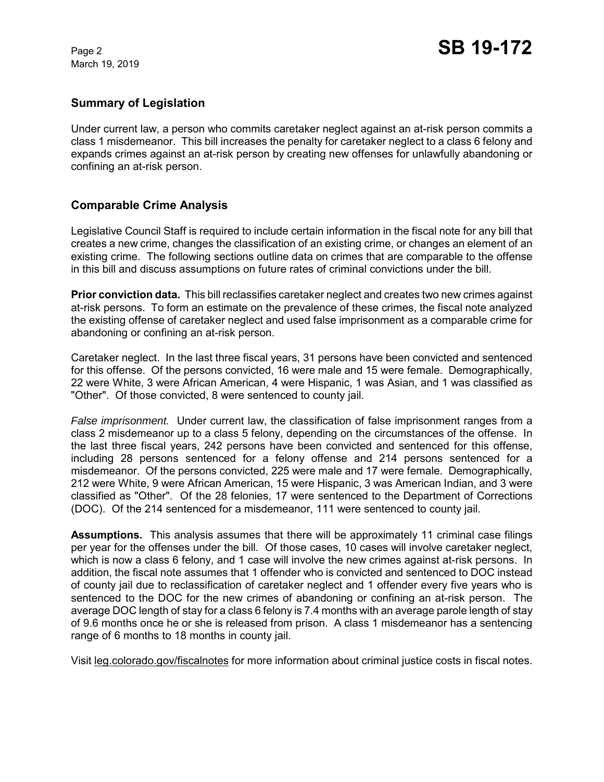March 19, 2019

#### **Summary of Legislation**

Under current law, a person who commits caretaker neglect against an at-risk person commits a class 1 misdemeanor. This bill increases the penalty for caretaker neglect to a class 6 felony and expands crimes against an at-risk person by creating new offenses for unlawfully abandoning or confining an at-risk person.

## **Comparable Crime Analysis**

Legislative Council Staff is required to include certain information in the fiscal note for any bill that creates a new crime, changes the classification of an existing crime, or changes an element of an existing crime. The following sections outline data on crimes that are comparable to the offense in this bill and discuss assumptions on future rates of criminal convictions under the bill.

**Prior conviction data.** This bill reclassifies caretaker neglect and creates two new crimes against at-risk persons. To form an estimate on the prevalence of these crimes, the fiscal note analyzed the existing offense of caretaker neglect and used false imprisonment as a comparable crime for abandoning or confining an at-risk person.

Caretaker neglect. In the last three fiscal years, 31 persons have been convicted and sentenced for this offense. Of the persons convicted, 16 were male and 15 were female. Demographically, 22 were White, 3 were African American, 4 were Hispanic, 1 was Asian, and 1 was classified as "Other". Of those convicted, 8 were sentenced to county jail.

*False imprisonment.* Under current law, the classification of false imprisonment ranges from a class 2 misdemeanor up to a class 5 felony, depending on the circumstances of the offense. In the last three fiscal years, 242 persons have been convicted and sentenced for this offense, including 28 persons sentenced for a felony offense and 214 persons sentenced for a misdemeanor. Of the persons convicted, 225 were male and 17 were female. Demographically, 212 were White, 9 were African American, 15 were Hispanic, 3 was American Indian, and 3 were classified as "Other". Of the 28 felonies, 17 were sentenced to the Department of Corrections (DOC). Of the 214 sentenced for a misdemeanor, 111 were sentenced to county jail.

**Assumptions.** This analysis assumes that there will be approximately 11 criminal case filings per year for the offenses under the bill. Of those cases, 10 cases will involve caretaker neglect, which is now a class 6 felony, and 1 case will involve the new crimes against at-risk persons. In addition, the fiscal note assumes that 1 offender who is convicted and sentenced to DOC instead of county jail due to reclassification of caretaker neglect and 1 offender every five years who is sentenced to the DOC for the new crimes of abandoning or confining an at-risk person. The average DOC length of stay for a class 6 felony is 7.4 months with an average parole length of stay of 9.6 months once he or she is released from prison. A class 1 misdemeanor has a sentencing range of 6 months to 18 months in county jail.

Visit leg.colorado.gov/fiscalnotes for more information about criminal justice costs in fiscal notes.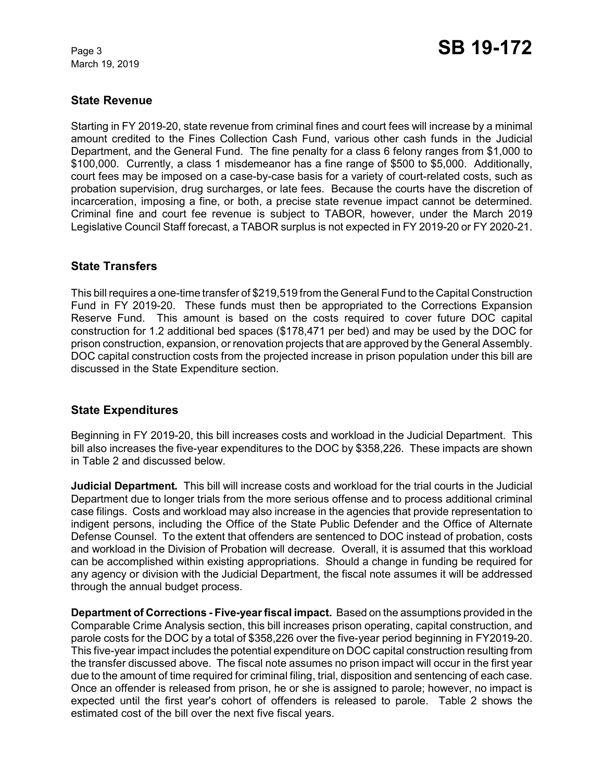March 19, 2019

#### **State Revenue**

Starting in FY 2019-20, state revenue from criminal fines and court fees will increase by a minimal amount credited to the Fines Collection Cash Fund, various other cash funds in the Judicial Department, and the General Fund. The fine penalty for a class 6 felony ranges from \$1,000 to \$100,000. Currently, a class 1 misdemeanor has a fine range of \$500 to \$5,000. Additionally, court fees may be imposed on a case-by-case basis for a variety of court-related costs, such as probation supervision, drug surcharges, or late fees. Because the courts have the discretion of incarceration, imposing a fine, or both, a precise state revenue impact cannot be determined. Criminal fine and court fee revenue is subject to TABOR, however, under the March 2019 Legislative Council Staff forecast, a TABOR surplus is not expected in FY 2019-20 or FY 2020-21.

#### **State Transfers**

This bill requires a one-time transfer of \$219,519 from the General Fund to the Capital Construction Fund in FY 2019-20. These funds must then be appropriated to the Corrections Expansion Reserve Fund. This amount is based on the costs required to cover future DOC capital construction for 1.2 additional bed spaces (\$178,471 per bed) and may be used by the DOC for prison construction, expansion, or renovation projects that are approved by the General Assembly. DOC capital construction costs from the projected increase in prison population under this bill are discussed in the State Expenditure section.

## **State Expenditures**

Beginning in FY 2019-20, this bill increases costs and workload in the Judicial Department. This bill also increases the five-year expenditures to the DOC by \$358,226. These impacts are shown in Table 2 and discussed below.

**Judicial Department***.* This bill will increase costs and workload for the trial courts in the Judicial Department due to longer trials from the more serious offense and to process additional criminal case filings. Costs and workload may also increase in the agencies that provide representation to indigent persons, including the Office of the State Public Defender and the Office of Alternate Defense Counsel. To the extent that offenders are sentenced to DOC instead of probation, costs and workload in the Division of Probation will decrease. Overall, it is assumed that this workload can be accomplished within existing appropriations. Should a change in funding be required for any agency or division with the Judicial Department, the fiscal note assumes it will be addressed through the annual budget process.

**Department of Corrections - Five-year fiscal impact.** Based on the assumptions provided in the Comparable Crime Analysis section, this bill increases prison operating, capital construction, and parole costs for the DOC by a total of \$358,226 over the five-year period beginning in FY2019-20. This five-year impact includes the potential expenditure on DOC capital construction resulting from the transfer discussed above. The fiscal note assumes no prison impact will occur in the first year due to the amount of time required for criminal filing, trial, disposition and sentencing of each case. Once an offender is released from prison, he or she is assigned to parole; however, no impact is expected until the first year's cohort of offenders is released to parole. Table 2 shows the estimated cost of the bill over the next five fiscal years.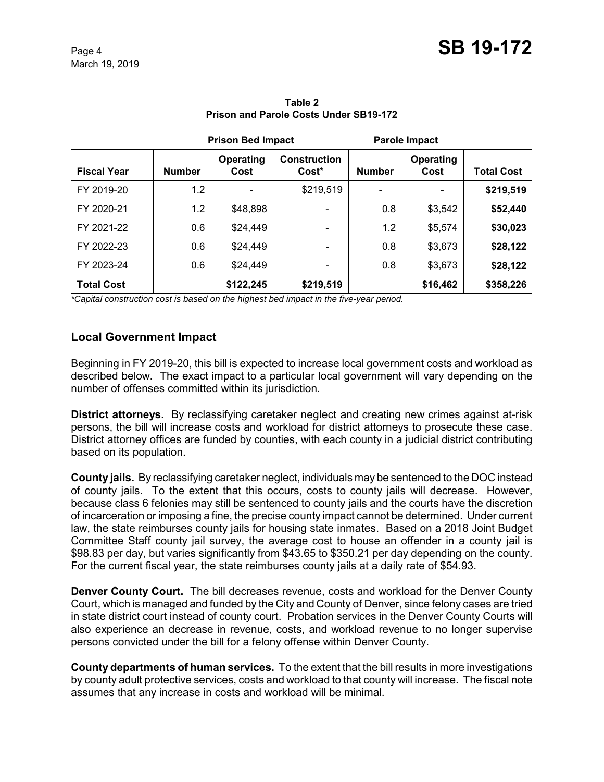|                    |               | <b>Prison Bed Impact</b> |                                |               | <b>Parole Impact</b> |                   |
|--------------------|---------------|--------------------------|--------------------------------|---------------|----------------------|-------------------|
| <b>Fiscal Year</b> | <b>Number</b> | Operating<br>Cost        | <b>Construction</b><br>$Cost*$ | <b>Number</b> | Operating<br>Cost    | <b>Total Cost</b> |
| FY 2019-20         | 1.2           |                          | \$219,519                      |               |                      | \$219,519         |
| FY 2020-21         | 1.2           | \$48,898                 | -                              | 0.8           | \$3,542              | \$52,440          |
| FY 2021-22         | 0.6           | \$24,449                 |                                | 1.2           | \$5,574              | \$30,023          |
| FY 2022-23         | 0.6           | \$24,449                 | -                              | 0.8           | \$3,673              | \$28,122          |
| FY 2023-24         | 0.6           | \$24.449                 | $\qquad \qquad \blacksquare$   | 0.8           | \$3,673              | \$28,122          |
| <b>Total Cost</b>  |               | \$122,245                | \$219,519                      |               | \$16,462             | \$358,226         |

**Table 2 Prison and Parole Costs Under SB19-172**

*\*Capital construction cost is based on the highest bed impact in the five-year period.*

## **Local Government Impact**

Beginning in FY 2019-20, this bill is expected to increase local government costs and workload as described below. The exact impact to a particular local government will vary depending on the number of offenses committed within its jurisdiction.

**District attorneys.** By reclassifying caretaker neglect and creating new crimes against at-risk persons, the bill will increase costs and workload for district attorneys to prosecute these case. District attorney offices are funded by counties, with each county in a judicial district contributing based on its population.

**County jails.** By reclassifying caretaker neglect, individuals may be sentenced to the DOC instead of county jails. To the extent that this occurs, costs to county jails will decrease. However, because class 6 felonies may still be sentenced to county jails and the courts have the discretion of incarceration or imposing a fine, the precise county impact cannot be determined. Under current law, the state reimburses county jails for housing state inmates. Based on a 2018 Joint Budget Committee Staff county jail survey, the average cost to house an offender in a county jail is \$98.83 per day, but varies significantly from \$43.65 to \$350.21 per day depending on the county. For the current fiscal year, the state reimburses county jails at a daily rate of \$54.93.

**Denver County Court.** The bill decreases revenue, costs and workload for the Denver County Court, which is managed and funded by the City and County of Denver, since felony cases are tried in state district court instead of county court. Probation services in the Denver County Courts will also experience an decrease in revenue, costs, and workload revenue to no longer supervise persons convicted under the bill for a felony offense within Denver County.

**County departments of human services.** To the extent that the bill results in more investigations by county adult protective services, costs and workload to that county will increase. The fiscal note assumes that any increase in costs and workload will be minimal.